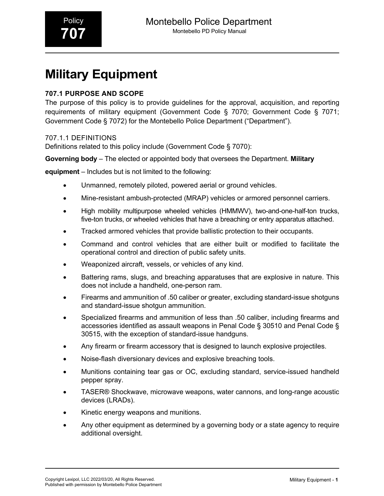# **Military Equipment**

## **707.1 PURPOSE AND SCOPE**

The purpose of this policy is to provide guidelines for the approval, acquisition, and reporting requirements of military equipment (Government Code § 7070; Government Code § 7071; Government Code § 7072) for the Montebello Police Department ("Department").

#### 707.1.1 DEFINITIONS

Definitions related to this policy include (Government Code § 7070):

**Governing body** – The elected or appointed body that oversees the Department. **Military** 

**equipment** – Includes but is not limited to the following:

- Unmanned, remotely piloted, powered aerial or ground vehicles.
- Mine-resistant ambush-protected (MRAP) vehicles or armored personnel carriers.
- High mobility multipurpose wheeled vehicles (HMMWV), two-and-one-half-ton trucks, five-ton trucks, or wheeled vehicles that have a breaching or entry apparatus attached.
- Tracked armored vehicles that provide ballistic protection to their occupants.
- Command and control vehicles that are either built or modified to facilitate the operational control and direction of public safety units.
- Weaponized aircraft, vessels, or vehicles of any kind.
- Battering rams, slugs, and breaching apparatuses that are explosive in nature. This does not include a handheld, one-person ram.
- Firearms and ammunition of .50 caliber or greater, excluding standard-issue shotguns and standard-issue shotgun ammunition.
- Specialized firearms and ammunition of less than .50 caliber, including firearms and accessories identified as assault weapons in Penal Code § 30510 and Penal Code § 30515, with the exception of standard-issue handguns.
- Any firearm or firearm accessory that is designed to launch explosive projectiles.
- Noise-flash diversionary devices and explosive breaching tools.
- Munitions containing tear gas or OC, excluding standard, service-issued handheld pepper spray.
- TASER® Shockwave, microwave weapons, water cannons, and long-range acoustic devices (LRADs).
- Kinetic energy weapons and munitions.
- Any other equipment as determined by a governing body or a state agency to require additional oversight.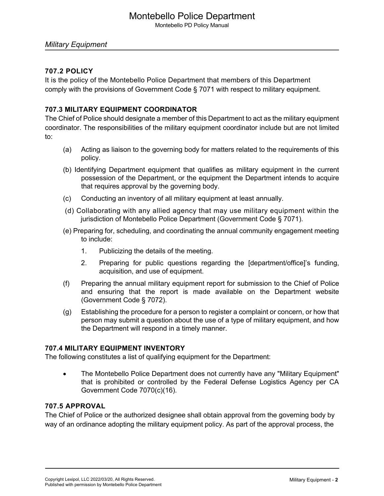# Montebello Police Department

Montebello PD Policy Manual

#### *Military Equipment*

#### **707.2 POLICY**

It is the policy of the Montebello Police Department that members of this Department comply with the provisions of Government Code § 7071 with respect to military equipment.

#### **707.3 MILITARY EQUIPMENT COORDINATOR**

The Chief of Police should designate a member of this Department to act as the military equipment coordinator. The responsibilities of the military equipment coordinator include but are not limited to:

- (a) Acting as liaison to the governing body for matters related to the requirements of this policy.
- (b) Identifying Department equipment that qualifies as military equipment in the current possession of the Department, or the equipment the Department intends to acquire that requires approval by the governing body.
- (c) Conducting an inventory of all military equipment at least annually.
- (d) Collaborating with any allied agency that may use military equipment within the jurisdiction of Montebello Police Department (Government Code § 7071).
- (e) Preparing for, scheduling, and coordinating the annual community engagement meeting to include:
	- 1. Publicizing the details of the meeting.
	- 2. Preparing for public questions regarding the [department/office]'s funding, acquisition, and use of equipment.
- (f) Preparing the annual military equipment report for submission to the Chief of Police and ensuring that the report is made available on the Department website (Government Code § 7072).
- (g) Establishing the procedure for a person to register a complaint or concern, or how that person may submit a question about the use of a type of military equipment, and how the Department will respond in a timely manner.

#### **707.4 MILITARY EQUIPMENT INVENTORY**

The following constitutes a list of qualifying equipment for the Department:

• The Montebello Police Department does not currently have any "Military Equipment" that is prohibited or controlled by the Federal Defense Logistics Agency per CA Government Code 7070(c)(16).

#### **707.5 APPROVAL**

The Chief of Police or the authorized designee shall obtain approval from the governing body by way of an ordinance adopting the military equipment policy. As part of the approval process, the